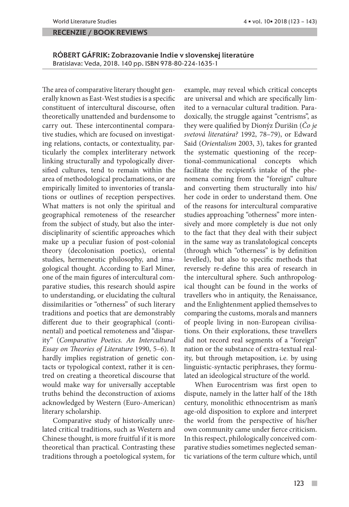#### recenzie / book reviews

RÓBERT GÁFRIK: Zobrazovanie Indie v slovenskej literatúre Bratislava: Veda, 2018. 140 pp. ISBN 978-80-224-1635-1

The area of comparative literary thought generally known as East-West studies is a specific constituent of intercultural discourse, often theoretically unattended and burdensome to carry out. These intercontinental comparative studies, which are focused on investigating relations, contacts, or contextuality, particularly the complex interliterary network linking structurally and typologically diversified cultures, tend to remain within the area of methodological proclamations, or are empirically limited to inventories of translations or outlines of reception perspectives. What matters is not only the spiritual and geographical remoteness of the researcher from the subject of study, but also the interdisciplinarity of scientific approaches which make up a peculiar fusion of post-colonial theory (decolonisation poetics), oriental studies, hermeneutic philosophy, and imagological thought. According to Earl Miner, one of the main figures of intercultural comparative studies, this research should aspire to understanding, or elucidating the cultural dissimilarities or "otherness" of such literary traditions and poetics that are demonstrably different due to their geographical (continental) and poetical remoteness and "disparity" (*Comparative Poetics. An Intercultural Essay on Theories of Literature* 1990, 5–6). It hardly implies registration of genetic contacts or typological context, rather it is centred on creating a theoretical discourse that would make way for universally acceptable truths behind the deconstruction of axioms acknowledged by Western (Euro-American) literary scholarship.

Comparative study of historically unrelated critical traditions, such as Western and Chinese thought, is more fruitful if it is more theoretical than practical. Contrasting these traditions through a poetological system, for example, may reveal which critical concepts are universal and which are specifically limited to a vernacular cultural tradition. Paradoxically, the struggle against "centrisms", as they were qualified by Dionýz Ďurišin (*Čo je svetová literatúra?* 1992, 78–79), or Edward Said (*Orientalism* 2003, 3), takes for granted the systematic questioning of the receptional-communicational concepts which facilitate the recipient's intake of the phenomena coming from the "foreign" culture and converting them structurally into his/ her code in order to understand them. One of the reasons for intercultural comparative studies approaching "otherness" more intensively and more completely is due not only to the fact that they deal with their subject in the same way as translatological concepts (through which "otherness" is by definition levelled), but also to specific methods that reversely re-define this area of research in the intercultural sphere. Such anthropological thought can be found in the works of travellers who in antiquity, the Renaissance, and the Enlightenment applied themselves to comparing the customs, morals and manners of people living in non-European civilisations. On their explorations, these travellers did not record real segments of a "foreign" nation or the substance of extra-textual reality, but through metaposition, i.e. by using linguistic-syntactic periphrases, they formulated an ideological structure of the world.

When Eurocentrism was first open to dispute, namely in the latter half of the 18th century, monolithic ethnocentrism as man's age-old disposition to explore and interpret the world from the perspective of his/her own community came under fierce criticism. In this respect, philologically conceived comparative studies sometimes neglected semantic variations of the term culture which, until

 $\mathcal{C}^{\mathcal{A}}$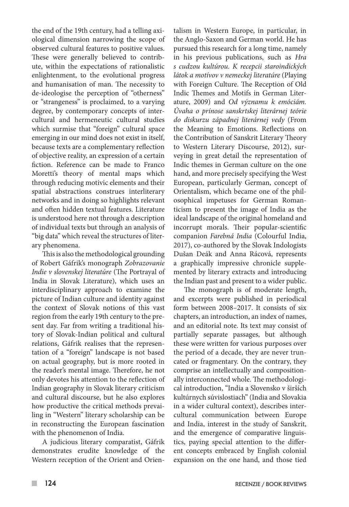the end of the 19th century, had a telling axiological dimension narrowing the scope of observed cultural features to positive values. These were generally believed to contribute, within the expectations of rationalistic enlightenment, to the evolutional progress and humanisation of man. The necessity to de-ideologise the perception of "otherness" or "strangeness" is proclaimed, to a varying degree, by contemporary concepts of intercultural and hermeneutic cultural studies which surmise that "foreign" cultural space emerging in our mind does not exist in itself, because texts are a complementary reflection of objective reality, an expression of a certain fiction. Reference can be made to Franco Moretti's theory of mental maps which through reducing motivic elements and their spatial abstractions construes interliterary networks and in doing so highlights relevant and often hidden textual features. Literature is understood here not through a description of individual texts but through an analysis of "big data" which reveal the structures of literary phenomena.

This is also the methodological grounding of Robert Gáfrik's monograph *Zobrazovanie Indie v slovenskej literatúre* (The Portrayal of India in Slovak Literature), which uses an interdisciplinary approach to examine the picture of Indian culture and identity against the context of Slovak notions of this vast region from the early 19th century to the present day. Far from writing a traditional history of Slovak-Indian political and cultural relations, Gáfrik realises that the representation of a "foreign" landscape is not based on actual geography, but is more rooted in the reader's mental image. Therefore, he not only devotes his attention to the reflection of Indian geography in Slovak literary criticism and cultural discourse, but he also explores how productive the critical methods prevailing in "Western" literary scholarship can be in reconstructing the European fascination with the phenomenon of India.

A judicious literary comparatist, Gáfrik demonstrates erudite knowledge of the Western reception of the Orient and Orientalism in Western Europe, in particular, in the Anglo-Saxon and German world. He has pursued this research for a long time, namely in his previous publications, such as *Hra s cudzou kultúrou. K recepcii staroindických látok a motívov v nemeckej literatúre* (Playing with Foreign Culture. The Reception of Old Indic Themes and Motifs in German Literature, 2009) and *Od významu k emóciám. Úvaha o prínose sanskrtskej literárnej teórie do diskurzu západnej literárnej vedy* (From the Meaning to Emotions. Reflections on the Contribution of Sanskrit Literary Theory to Western Literary Discourse, 2012), surveying in great detail the representation of Indic themes in German culture on the one hand, and more precisely specifying the West European, particularly German, concept of Orientalism, which became one of the philosophical impetuses for German Romanticism to present the image of India as the ideal landscape of the original homeland and incorrupt morals. Their popular-scientific companion *Farebná India* (Colourful India, 2017), co-authored by the Slovak Indologists Dušan Deák and Anna Rácová, represents a graphically impressive chronicle supplemented by literary extracts and introducing the Indian past and present to a wider public.

The monograph is of moderate length, and excerpts were published in periodical form between 2008–2017. It consists of six chapters, an introduction, an index of names, and an editorial note. Its text may consist of partially separate passages, but although these were written for various purposes over the period of a decade, they are never truncated or fragmentary. On the contrary, they comprise an intellectually and compositionally interconnected whole. The methodological introduction, "India a Slovensko v širších kultúrnych súvislostiach" (India and Slovakia in a wider cultural context), describes intercultural communication between Europe and India, interest in the study of Sanskrit, and the emergence of comparative linguistics, paying special attention to the different concepts embraced by English colonial expansion on the one hand, and those tied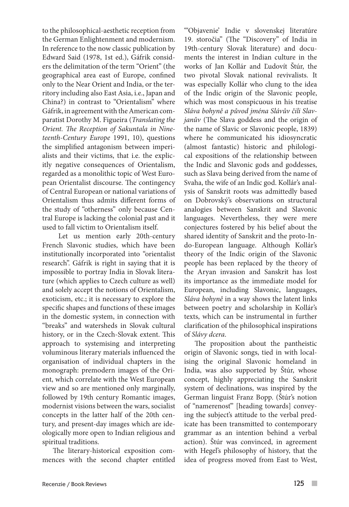to the philosophical-aesthetic reception from the German Enlightenment and modernism. In reference to the now classic publication by Edward Said (1978, 1st ed.), Gáfrik considers the delimitation of the term "Orient" (the geographical area east of Europe, confined only to the Near Orient and India, or the territory including also East Asia, i.e., Japan and China?) in contrast to "Orientalism" where Gáfrik, in agreement with the American comparatist Dorothy M. Figueira (*Translating the Orient. The Reception of Sakuntala in Nineteenth-Century Europe* 1991, 10), questions the simplified antagonism between imperialists and their victims, that i.e. the explicitly negative consequences of Orientalism, regarded as a monolithic topic of West European Orientalist discourse. The contingency of Central European or national variations of Orientalism thus admits different forms of the study of "otherness" only because Central Europe is lacking the colonial past and it used to fall victim to Orientalism itself.

 Let us mention early 20th-century French Slavonic studies, which have been institutionally incorporated into "orientalist research". Gáfrik is right in saying that it is impossible to portray India in Slovak literature (which applies to Czech culture as well) and solely accept the notions of Orientalism, exoticism, etc.; it is necessary to explore the specific shapes and functions of these images in the domestic system, in connection with "breaks" and watersheds in Slovak cultural history, or in the Czech-Slovak extent. This approach to systemising and interpreting voluminous literary materials influenced the organisation of individual chapters in the monograph: premodern images of the Orient, which correlate with the West European view and so are mentioned only marginally, followed by 19th century Romantic images, modernist visions between the wars, socialist concepts in the latter half of the 20th century, and present-day images which are ideologically more open to Indian religious and spiritual traditions.

The literary-historical exposition commences with the second chapter entitled "'Objavenie' Indie v slovenskej literatúre 19. storočia" (The "Discovery" of India in 19th-century Slovak literature) and documents the interest in Indian culture in the works of Jan Kollár and Ľudovít Štúr, the two pivotal Slovak national revivalists. It was especially Kollár who clung to the idea of the Indic origin of the Slavonic people, which was most conspicuous in his treatise *Sláva bohyně a původ jména Slávův čili Slavjanův* (The Slava goddess and the origin of the name of Slavic or Slavonic people, 1839) where he communicated his idiosyncratic (almost fantastic) historic and philological expositions of the relationship between the Indic and Slavonic gods and goddesses, such as Slava being derived from the name of Svaha, the wife of an Indic god. Kollár's analysis of Sanskrit roots was admittedly based on Dobrovský's observations on structural analogies between Sanskrit and Slavonic languages. Nevertheless, they were mere conjectures fostered by his belief about the shared identity of Sanskrit and the proto-Indo-European language. Although Kollár's theory of the Indic origin of the Slavonic people has been replaced by the theory of the Aryan invasion and Sanskrit has lost its importance as the immediate model for European, including Slavonic, languages, *Sláva bohyně* in a way shows the latent links between poetry and scholarship in Kollár's texts, which can be instrumental in further clarification of the philosophical inspirations of *Slávy dcera*.

The proposition about the pantheistic origin of Slavonic songs, tied in with localising the original Slavonic homeland in India, was also supported by Štúr, whose concept, highly appreciating the Sanskrit system of declinations, was inspired by the German linguist Franz Bopp. (Štúr's notion of "namerenosť" [heading towards] conveying the subject's attitude to the verbal predicate has been transmitted to contemporary grammar as an intention behind a verbal action). Štúr was convinced, in agreement with Hegel's philosophy of history, that the idea of progress moved from East to West,

 $\sim$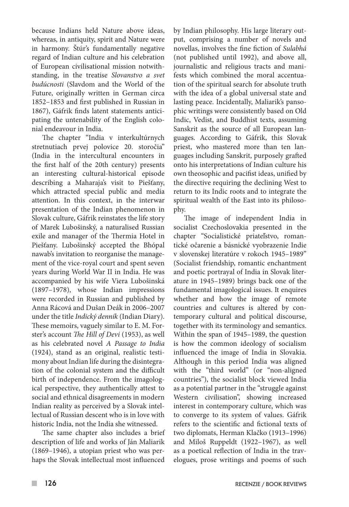because Indians held Nature above ideas, whereas, in antiquity, spirit and Nature were in harmony. Štúr's fundamentally negative regard of Indian culture and his celebration of European civilisational mission notwithstanding, in the treatise *Slovanstvo a svet budúcnosti* (Slavdom and the World of the Future, originally written in German circa 1852–1853 and first published in Russian in 1867), Gáfrik finds latent statements anticipating the untenability of the English colonial endeavour in India.

The chapter "India v interkultúrnych stretnutiach prvej polovice 20. storočia" (India in the intercultural encounters in the first half of the 20th century) presents an interesting cultural-historical episode describing a Maharaja's visit to Piešťany, which attracted special public and media attention. In this context, in the interwar presentation of the Indian phenomenon in Slovak culture, Gáfrik reinstates the life story of Marek Lubošinský, a naturalised Russian exile and manager of the Thermia Hotel in Piešťany. Lubošinský accepted the Bhópal nawab's invitation to reorganise the management of the vice-royal court and spent seven years during World War II in India. He was accompanied by his wife Viera Lubošinská (1897–1978), whose Indian impressions were recorded in Russian and published by Anna Rácová and Dušan Deák in 2006–2007 under the title *Indický denník* (Indian Diary). These memoirs, vaguely similar to E. M. Forster's account *The Hill of Devi* (1953), as well as his celebrated novel *A Passage to India* (1924), stand as an original, realistic testimony about Indian life during the disintegration of the colonial system and the difficult birth of independence. From the imagological perspective, they authentically attest to social and ethnical disagreements in modern Indian reality as perceived by a Slovak intellectual of Russian descent who is in love with historic India, not the India she witnessed.

The same chapter also includes a brief description of life and works of Ján Maliarik (1869–1946), a utopian priest who was perhaps the Slovak intellectual most influenced

by Indian philosophy. His large literary output, comprising a number of novels and novellas, involves the fine fiction of *Sulabhá* (not published until 1992), and above all, journalistic and religious tracts and manifests which combined the moral accentuation of the spiritual search for absolute truth with the idea of a global universal state and lasting peace. Incidentally, Maliarik's pansophic writings were consistently based on Old Indic, Vedist, and Buddhist texts, assuming Sanskrit as the source of all European languages. According to Gáfrik, this Slovak priest, who mastered more than ten languages including Sanskrit, purposely grafted onto his interpretations of Indian culture his own theosophic and pacifist ideas, unified by the directive requiring the declining West to return to its Indic roots and to integrate the spiritual wealth of the East into its philosophy.

The image of independent India in socialist Czechoslovakia presented in the chapter "Socialistické priateľstvo, romantické očarenie a básnické vyobrazenie Indie v slovenskej literatúre v rokoch 1945–1989" (Socialist friendship, romantic enchantment and poetic portrayal of India in Slovak literature in 1945–1989) brings back one of the fundamental imagological issues. It enquires whether and how the image of remote countries and cultures is altered by contemporary cultural and political discourse, together with its terminology and semantics. Within the span of 1945–1989, the question is how the common ideology of socialism influenced the image of India in Slovakia. Although in this period India was aligned with the "third world" (or "non-aligned countries"), the socialist block viewed India as a potential partner in the "struggle against Western civilisation", showing increased interest in contemporary culture, which was to converge to its system of values. Gáfrik refers to the scientific and fictional texts of two diplomats, Herman Klačko (1913–1996) and Miloš Ruppeldt (1922–1967), as well as a poetical reflection of India in the travelogues, prose writings and poems of such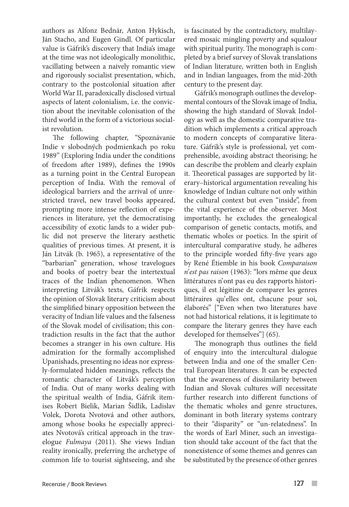authors as Alfonz Bednár, Anton Hykisch, Ján Stacho, and Eugen Gindl. Of particular value is Gáfrik's discovery that India's image at the time was not ideologically monolithic, vacillating between a naively romantic view and rigorously socialist presentation, which, contrary to the postcolonial situation after World War II, paradoxically disclosed virtual aspects of latent colonialism, i.e. the conviction about the inevitable colonisation of the third world in the form of a victorious socialist revolution.

The following chapter, "Spoznávanie Indie v slobodných podmienkach po roku 1989" (Exploring India under the conditions of freedom after 1989), defines the 1990s as a turning point in the Central European perception of India. With the removal of ideological barriers and the arrival of unrestricted travel, new travel books appeared, prompting more intense reflection of experiences in literature, yet the democratising accessibility of exotic lands to a wider public did not preserve the literary aesthetic qualities of previous times. At present, it is Ján Litvák (b. 1965), a representative of the "barbarian" generation, whose travelogues and books of poetry bear the intertextual traces of the Indian phenomenon. When interpreting Litvák's texts, Gáfrik respects the opinion of Slovak literary criticism about the simplified binary opposition between the veracity of Indian life values and the falseness of the Slovak model of civilisation; this contradiction results in the fact that the author becomes a stranger in his own culture. His admiration for the formally accomplished Upanishads, presenting no ideas nor expressly-formulated hidden meanings, reflects the romantic character of Litvák's perception of India. Out of many works dealing with the spiritual wealth of India, Gáfrik itemises Robert Bielik, Marian Šidlík, Ladislav Volek, Dorota Nvotová and other authors, among whose books he especially appreciates Nvotová's critical approach in the travelogue *Fulmaya* (2011). She views Indian reality ironically, preferring the archetype of common life to tourist sightseeing, and she

is fascinated by the contradictory, multilayered mosaic mingling poverty and squalour with spiritual purity. The monograph is completed by a brief survey of Slovak translations of Indian literature, written both in English and in Indian languages, from the mid-20th century to the present day.

Gáfrik's monograph outlines the developmental contours of the Slovak image of India, showing the high standard of Slovak Indology as well as the domestic comparative tradition which implements a critical approach to modern concepts of comparative literature. Gáfrik's style is professional, yet comprehensible, avoiding abstract theorising; he can describe the problem and clearly explain it. Theoretical passages are supported by literary–historical argumentation revealing his knowledge of Indian culture not only within the cultural context but even "inside", from the vital experience of the observer. Most importantly, he excludes the genealogical comparison of genetic contacts, motifs, and thematic wholes or poetics. In the spirit of intercultural comparative study, he adheres to the principle worded fifty-five years ago by René Étiemble in his book *Comparaison n'est pas raison* (1963): "lors même que deux littératures n'ont pas eu des rapports historiques, il est légitime de comparer les genres littéraires qu'elles ont, chacune pour soi, élaborés" ["Even when two literatures have not had historical relations, it is legitimate to compare the literary genres they have each developed for themselves"] (65).

The monograph thus outlines the field of enquiry into the intercultural dialogue between India and one of the smaller Central European literatures. It can be expected that the awareness of dissimilarity between Indian and Slovak cultures will necessitate further research into different functions of the thematic wholes and genre structures, dominant in both literary systems contrary to their "disparity" or "un-relatedness". In the words of Earl Miner, such an investigation should take account of the fact that the nonexistence of some themes and genres can be substituted by the presence of other genres

 $\overline{\phantom{a}}$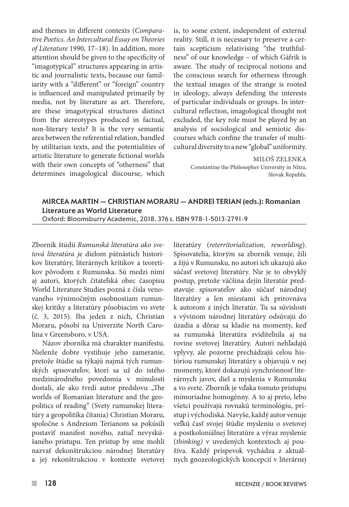and themes in different contexts (*Comparative Poetics. An Intercultural Essay on Theories of Literature* 1990, 17–18). In addition, more attention should be given to the specificity of "imagotypical" structures appearing in artistic and journalistic texts, because our familiarity with a "different" or "foreign" country is influenced and manipulated primarily by media, not by literature as art. Therefore, are these imagotypical structures distinct from the stereotypes produced in factual, non-literary texts? It is the very semantic area between the referential relation, handled by utilitarian texts, and the potentialities of artistic literature to generate fictional worlds with their own concepts of "otherness" that determines imagological discourse, which

is, to some extent, independent of external reality. Still, it is necessary to preserve a certain scepticism relativising "the truthfulness" of our knowledge – of which Gáfrik is aware. The study of reciprocal notions and the conscious search for otherness through the textual images of the strange is rooted in ideology, always defending the interests of particular individuals or groups. In intercultural reflection, imagological thought not excluded, the key role must be played by an analysis of sociological and semiotic discourses which confine the transfer of multicultural diversity to a new "global" uniformity.

> MILOŠ ZELENKA Constantine the Philosopher University in Nitra, Slovak Republic

## Mircea Martin — Christian Moraru — Andrei Terian (eds.): Romanian Literature as World Literature Oxford: Bloomsburry Academic, 2018. 376 s. ISBN 978-1-5013-2791-9

Zborník štúdií *Rumunská literatúra ako svetová literatúra j*e dielom pätnástich historikov literatúry, literárnych kritikov a teoretikov pôvodom z Rumunska. Sú medzi nimi aj autori, ktorých čitateľská obec časopisu World Literature Studies pozná z čísla venovaného výnimočným osobnostiam rumunskej kritiky a literatúry pôsobiacim vo svete (č. 3, 2015). Iba jeden z nich, Christian Moraru, pôsobí na Univerzite North Carolina v Greensboro, v USA.

Názov zborníka má charakter manifestu. Nielenže dobre vystihuje jeho zameranie, pretože štúdie sa týkajú najmä tých rumunských spisovateľov, ktorí sa už do istého medzinárodného povedomia v minulosti dostali, ale ako tvrdí autor predslovu "The worlds of Romanian literature and the geopolitics of reading" (Svety rumunskej literatúry a geopolitika čítania) Christian Moraru, spoločne s Andreiom Terianom sa pokúsili postaviť manifest nového, zatiaľ nevyskúšaného prístupu. Ten prístup by sme mohli nazvať dekonštrukciou národnej literatúry a jej rekonštrukciou v kontexte svetovej literatúry (*reterritorialization, reworlding*). Spisovatelia, ktorým sa zborník venuje, žili a žijú v Rumunsku, no autori ich ukazujú ako súčasť svetovej literatúry. Nie je to obvyklý postup, pretože väčšina dejín literatúr predstavuje spisovateľov ako súčasť národnej literatúry a len miestami ich prirovnáva k autorom z iných literatúr. Tu sa súvislosti s vývinom národnej literatúry odsúvajú do úzadia a dôraz sa kladie na momenty, keď sa rumunská literatúra zviditeľnila aj na rovine svetovej literatúry. Autori nehľadajú vplyvy, ale pozorne prechádzajú celou históriou rumunskej literatúry a objavujú v nej momenty, ktoré dokazujú synchrónnosť literárnych javov, diel a myslenia v Rumunsku a vo svete. Zborník je vďaka tomuto prístupu mimoriadne homogénny. A to aj preto, lebo všetci používajú rovnakú terminológiu, prístup i východiská. Navyše, každý autor venuje veľkú časť svojej štúdie mysleniu o svetovej a postkoloniálnej literatúre a výraz myslenie (*thinking)* v uvedených kontextoch aj používa. Každý príspevok vychádza z aktuálnych gnozeologických koncepcií v literárnej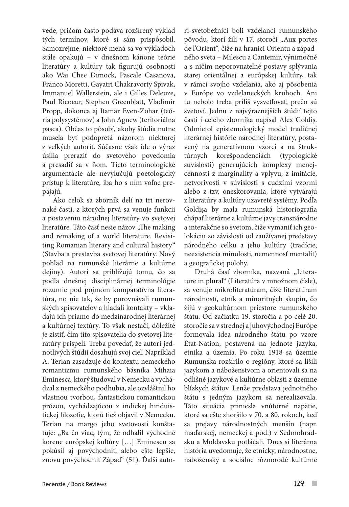vede, pričom často podáva rozšírený výklad tých termínov, ktoré si sám prispôsobil. Samozrejme, niektoré mená sa vo výkladoch stále opakujú – v dnešnom kánone teórie literatúry a kultúry tak figurujú osobnosti ako Wai Chee Dimock, Pascale Casanova, Franco Moretti, Gayatri Chakravorty Spivak, Immanuel Wallerstein, ale i Gilles Deleuze, Paul Ricoeur, Stephen Greenblatt, Vladimir Propp, dokonca aj Itamar Even-Zohar (teória polysystémov) a John Agnew (teritoriálna pasca). Občas to pôsobí, akoby štúdia nutne musela byť podopretá názorom niektorej z veľkých autorít. Súčasne však ide o výraz úsilia preraziť do svetového povedomia a presadiť sa v ňom. Tieto terminologické argumentácie ale nevylučujú poetologický prístup k literatúre, iba ho s ním voľne prepájajú.

Ako celok sa zborník delí na tri nerovnaké časti, z ktorých prvá sa venuje funkcii a postaveniu národnej literatúry vo svetovej literatúre. Táto časť nesie názov "The making and remaking of a world literature. Revisiting Romanian literary and cultural history" (Stavba a prestavba svetovej literatúry. Nový pohľad na rumunské literárne a kultúrne dejiny). Autori sa približujú tomu, čo sa podľa dnešnej disciplinárnej terminológie rozumie pod pojmom komparatívna literatúra, no nie tak, že by porovnávali rumunských spisovateľov a hľadali kontakty – vkladajú ich priamo do medzinárodnej literárnej a kultúrnej textúry. To však nestačí, dôležité je zistiť, čím títo spisovatelia do svetovej literatúry prispeli. Treba povedať, že autori jednotlivých štúdií dosahujú svoj cieľ. Napríklad A. Terian zasadzuje do kontextu nemeckého romantizmu rumunského básnika Mihaia Eminesca, ktorý študoval v Nemecku a vychádzal z nemeckého podhubia, ale ozvláštnil ho vlastnou tvorbou, fantastickou romantickou prózou, vychádzajúcou z indickej hinduistickej filozofie, ktorú tiež objavil v Nemecku. Terian na margo jeho svetovosti konštatuje: "Ba čo viac, tým, že odhalil východné korene európskej kultúry […] Eminescu sa pokúsil aj povýchodniť, alebo ešte lepšie, znovu povýchodniť Západ" (51). Ďalší autori-svetobežníci boli vzdelanci rumunského pôvodu, ktorí žili v 17. storočí "Aux portes de l'Orient", čiže na hranici Orientu a západného sveta – Milescu a Cantemir, výnimočné a s ničím neporovnateľné postavy splývania starej orientálnej a európskej kultúry, tak v rámci svojho vzdelania, ako aj pôsobenia v Európe vo vzdelaneckých kruhoch. Ani tu nebolo treba príliš vysvetľovať, prečo sú svetoví. Jednu z najvýraznejších štúdií tejto časti i celého zborníka napísal Alex Goldiş. Odmietol epistemologický model tradičnej literárnej histórie národnej literatúry, postavený na generatívnom vzorci a na štruktúrnych korešpondenciách (typologické súvislosti) generujúcich komplexy menejcennosti z marginality a vplyvu, z imitácie, netvorivosti v súvislosti s cudzími vzormi alebo z tzv. oneskorovania, ktoré vytvárajú z literatúry a kultúry uzavreté systémy. Podľa Goldişa by mala rumunská historiografia chápať literárne a kultúrne javy transnárodne a interakčne so svetom, čiže vymaniť ich geolokáciu zo závislosti od zaužívanej predstavy národného celku a jeho kultúry (tradície, neexistencia minulosti, nemennosť mentalít) a geografickej polohy.

Druhá časť zborníka, nazvaná "Literature in plural" (Literatúra v množnom čísle), sa venuje mikroliteratúram, čiže literatúram národností, etník a minoritných skupín, čo žijú v geokultúrnom priestore rumunského štátu. Od začiatku 19. storočia a po celé 20. storočie sa v strednej a juhovýchodnej Európe formovala idea národného štátu po vzore État-Nation, postavená na jednote jazyka, etnika a územia. Po roku 1918 sa územie Rumunska rozšírilo o regióny, ktoré sa líšili jazykom a náboženstvom a orientovali sa na odlišné jazykové a kultúrne oblasti z územne blízkych štátov. Lenže predstava jednotného štátu s jedným jazykom sa nerealizovala. Táto situácia priniesla vnútorné napätie, ktoré sa ešte zhoršilo v 70. a 80. rokoch, keď sa prejavy národnostných menšín (napr. maďarskej, nemeckej a pod.) v Sedmohradsku a Moldavsku potláčali. Dnes si literárna história uvedomuje, že etnicky, národnostne, nábožensky a sociálne rôznorodé kultúrne

 $\overline{\phantom{a}}$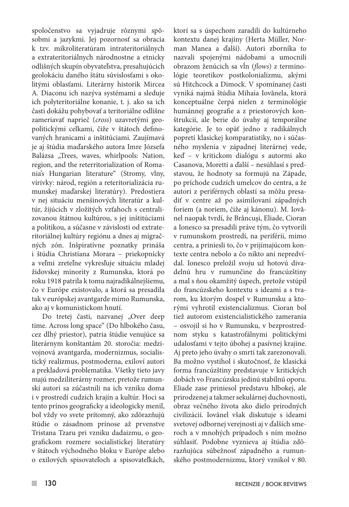spoločenstvo sa vyjadruje rôznymi spôsobmi a jazykmi. Jej pozornosť sa obracia k tzv. mikroliteratúram intrateritoriálnych a extrateritoriálnych národnostne a etnicky odlišných skupín obyvateľstva, presahujúcich geolokáciu daného štátu súvislosťami s okolitými oblasťami. Literárny historik Mircea A. Diaconu ich nazýva systémami a sleduje ich polyteritoriálne konanie, t. j. ako sa ich časti dokážu pohybovať a teritoriálne odlišne zameriavať naprieč (*cross*) uzavretými geopolitickými celkami, čiže v štátoch definovaných hranicami a inštitúciami. Zaujímavá je aj štúdia maďarského autora Imre Józsefa Balázsa "Trees, waves, whirlpools: Nation, region, and the reterritorialization of Romania's Hungarian literature" (Stromy, vlny, vírivky: národ, región a reteritorializácia rumunskej maďarskej literatúry). Predostiera v nej situáciu menšinových literatúr a kultúr, žijúcich v zložitých vzťahoch s centralizovanou štátnou kultúrou, s jej inštitúciami a politikou, a súčasne v závislosti od extrateritoriálnej kultúry regiónu a dnes aj migračných zón. Inšpiratívne poznatky prináša i štúdia Christiana Morara – priekopnícky a veľmi zreteľne vykresľuje situáciu mladej židovskej minority z Rumunska, ktorá po roku 1918 patrila k tomu najradikálnejšiemu, čo v Európe existovalo, a ktorá sa presadila tak v európskej avantgarde mimo Rumunska, ako aj v komunistickom hnutí.

Do tretej časti, nazvanej "Over deep time. Across long space" (Do hlbokého času, cez dlhý priestor), patria štúdie venujúce sa literárnym konštantám 20. storočia: medzivojnová avantgarda, modernizmus, socialistický realizmus, postmoderna, exiloví autori a prekladová problematika. Všetky tieto javy majú medziliterárny rozmer, pretože rumunskí autori sa zúčastnili na ich vzniku doma i v prostredí cudzích krajín a kultúr. Hoci sa tento prínos geograficky a ideologicky menil, bol vždy vo svete prítomný, ako zdôrazňujú štúdie o zásadnom prínose až prvenstve Tristana Tzaru pri vzniku dadaizmu, o geografickom rozmere socialistickej literatúry v štátoch východného bloku v Európe alebo o exilových spisovateľoch a spisovateľkách,

ktorí sa s úspechom zaradili do kultúrneho kontextu danej krajiny (Herta Müller, Norman Manea a ďalší). Autori zborníka to nazvali spojenými nádobami a umocnili obrazom ženúcich sa vĺn (*flows*) z terminológie teoretikov postkolonializmu, akými sú Hitchcock a Dimock. V spomínanej časti vyniká najmä štúdia Mihaia Iovănela, ktorá konceptuálne čerpá nielen z terminológie humánnej geografie a z priestorových konštrukcií, ale berie do úvahy aj temporálne kategórie. Je to opäť jedno z radikálnych popretí klasickej komparatistiky, no i súčasného myslenia v západnej literárnej vede, keď – v kritickom dialógu s autormi ako Casanova, Moretti a ďalší – nesúhlasí s predstavou, že hodnoty sa formujú na Západe, po príchode cudzích umelcov do centra, a že autori z periférnych oblastí sa môžu presadiť v centre až po asimilovaní západných foriem (a noriem, čiže aj kánonu). M. Iovănel naopak tvrdí, že Brâncuşi, Eliade, Cioran a Ionesco sa presadili práve tým, čo vytvorili v rumunskom prostredí, na periférii, mimo centra, a priniesli to, čo v prijímajúcom kontexte centra nebolo a čo nikto ani nepredvídal. Ionesco preložil svoju už hotovú divadelnú hru v rumunčine do francúzštiny a mal s ňou okamžitý úspech, pretože vstúpil do francúzskeho kontextu s ideami a s tvarom, ku ktorým dospel v Rumunsku a ktorými vyhrotil existencializmus. Cioran bol tiež autorom existencialistického zamerania – osvojil si ho v Rumunsku, v bezprostrednom styku s katastrofálnymi politickými udalosťami v tejto úbohej a pasívnej krajine. Aj preto jeho úvahy o smrti tak zarezonovali. Ba možno vystihol i skutočnosť, že klasická forma francúzštiny predstavuje v kritických dobách vo Francúzsku jedinú stabilnú oporu. Eliade zase priniesol predstavu hlbokej, ale prirodzenej a takmer sekulárnej duchovnosti, obraz večného života ako dielo prírodných civilizácií. Iovănel však diskutuje s ideami svetovej odbornej verejnosti aj v ďalších smeroch a v mnohých prípadoch s ním možno súhlasiť. Podobne vyznieva aj štúdia zdôrazňujúca súbežnosť západného a rumunského postmodernizmu, ktorý vznikol v 80.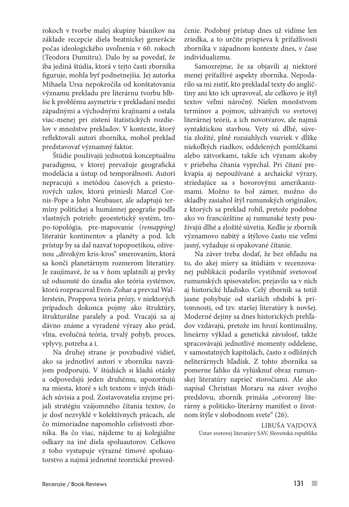rokoch v tvorbe malej skupiny básnikov na základe recepcie diela beatnickej generácie počas ideologického uvoľnenia v 60. rokoch (Teodora Dumitru). Dalo by sa povedať, že iba jediná štúdia, ktorá v tejto časti zborníka figuruje, mohla byť podnetnejšia. Jej autorka Mihaela Ursa nepokročila od konštatovania významu prekladu pre literárnu tvorbu hlbšie k problému asymetrie v prekladaní medzi západnými a východnými krajinami a ostala viac-menej pri zistení štatistických rozdielov v množstve prekladov. V kontexte, ktorý reflektovali autori zborníka, mohol preklad predstavovať významný faktor.

Štúdie používajú jednotnú konceptuálnu paradigmu, v ktorej prevažuje geografická modelácia a ústup od temporálnosti. Autori nepracujú s metódou časových a priestorových uzlov, ktorú priniesli Marcel Cornis-Pope a John Neubauer, ale adaptujú termíny politickej a humánnej geografie podľa vlastných potrieb: geoestetický systém, tropo-topológia, pre-mapovanie (*remapping)* literatúr kontinentov a planéty a pod. Ich prístup by sa dal nazvať topopoetikou, oživenou "divokým kris-kros" smerovaním, ktorá sa končí planetárnym rozmerom literatúry. Je zaujímavé, že sa v ňom uplatnili aj prvky už odsunuté do úzadia ako teória systémov, ktorú rozpracoval Even-Zohar a prevzal Wallerstein, Proppova teória prózy, v niektorých prípadoch dokonca pojmy ako štruktúry, štrukturálne paralely a pod. Vracajú sa aj dávno známe a vyradené výrazy ako prúd, vlna, evolučná teória, trvalý pohyb, proces, vplyvy, potreba a i.

Na druhej strane je povzbudivé vidieť, ako sa jednotliví autori v zborníku navzájom podporujú. V štúdiách si kladú otázky a odpovedajú jeden druhému, upozorňujú na miesta, ktoré s ich textom v iných štúdiách súvisia a pod. Zostavovatelia zrejme prijali stratégiu vzájomného čítania textov, čo je dosť nezvyklé v kolektívnych prácach, ale čo mimoriadne napomohlo celistvosti zborníka. Ba čo viac, nájdeme tu aj kolegiálne odkazy na iné diela spoluautorov. Celkovo z toho vystupuje výrazné tímové spoluautorstvo a najmä jednotné teoretické presvedčenie. Podobný prístup dnes už vidíme len zriedka, a to určite prispieva k príťažlivosti zborníka v západnom kontexte dnes, v čase individualizmu.

Samozrejme, že sa objavili aj niektoré menej príťažlivé aspekty zborníka. Nepodarilo sa mi zistiť, kto prekladal texty do angličtiny ani kto ich upravoval, ale celkovo je štýl textov veľmi náročný. Nielen množstvom termínov a pojmov, užívaných vo svetovej literárnej teórii, a ich novotvarov, ale najmä syntaktickou stavbou. Vety sú dlhé, súvetia zložité, plné rozsiahlych vsuviek v dĺžke niekoľkých riadkov, oddelených pomlčkami alebo zátvorkami, takže ich význam akoby v priebehu čítania vyprchal. Pri čítaní prekvapia aj nepoužívané a archaické výrazy, striedajúce sa s hovorovými amerikanizmami. Možno to bol zámer, možno do skladby zasiahol štýl rumunských originálov, z ktorých sa preklad robil, pretože podobne ako vo francúzštine aj rumunské texty používajú dlhé a zložité súvetia. Keďže je zborník významovo nabitý a štýlovo často nie veľmi jasný, vyžaduje si opakované čítanie.

Na záver treba dodať, že bez ohľadu na to, do akej miery sa štúdiám v recenzovanej publikácii podarilo vystihnúť svetovosť rumunských spisovateľov, prejavilo sa v nich aj historické hľadisko. Celý zborník sa totiž jasne pohybuje od starších období k prítomnosti, od tzv. staršej literatúry k novšej. Moderné dejiny sa dnes historických prehľadov vzdávajú, pretože im hrozí kontinuálny, lineárny výklad a genetická závislosť, takže spracovávajú jednotlivé momenty oddelene, v samostatných kapitolách, často z odlišných neliterárnych hľadísk. Z tohto zborníka sa pomerne ľahko dá vylúsknuť obraz rumunskej literatúry naprieč storočiami. Ale ako napísal Christian Moraru na záver svojho predslovu, zborník prináša "otvorený literárny a politicko-literárny manifest o životnom štýle v slobodnom svete" (26).

> Libuša Vajdová Ústav svetovej literatúry SAV, Slovenská republika

 $\overline{\phantom{a}}$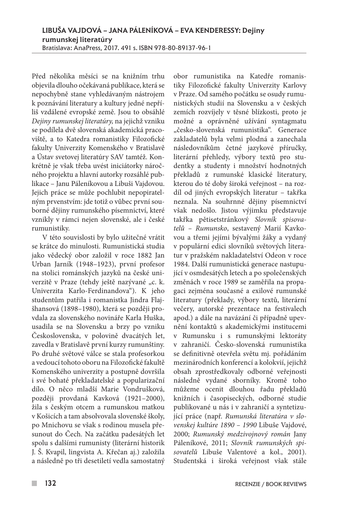Před několika měsíci se na knižním trhu objevila dlouho očekávaná publikace, která se nepochybně stane vyhledávaným nástrojem k poznávání literatury a kultury jedné nepříliš vzdálené evropské země. Jsou to obsáhlé *Dejiny rumunskej literatúry,* na jejichž vzniku se podílela dvě slovenská akademická pracoviště, a to Katedra romanistiky Filozofické fakulty Univerzity Komenského v Bratislavě a Ústav svetovej literatúry SAV tamtéž. Konkrétně je však třeba uvést iniciátorky náročného projektu a hlavní autorky rozsáhlé publikace – Janu Páleníkovou a Libuši Vajdovou. Jejich práce se může pochlubit nepopiratelným prvenstvím: jde totiž o vůbec první souborné dějiny rumunského písemnictví, které vznikly v rámci nejen slovenské, ale i české rumunistiky.

V této souvislosti by bylo užitečné vrátit se krátce do minulosti. Rumunistická studia jako vědecký obor založil v roce 1882 Jan Urban Jarník (1948–1923), první profesor na stolici románských jazyků na české univerzitě v Praze (tehdy ještě nazývané "c. k. Univerzita Karlo-Ferdinandova"). K jeho studentům patřila i romanistka Jindra Flajšhansová (1898–1980), která se později provdala za slovenského novináře Karla Huška, usadila se na Slovensku a brzy po vzniku Československa, v polovině dvacátých let, zavedla v Bratislavě první kurzy rumunštiny. Po druhé světové válce se stala profesorkou a vedoucí tohoto oboru na Filozofické fakultě Komenského univerzity a postupně dovršila i své bohaté překladatelské a popularizační dílo. O něco mladší Marie Vondrušková, později provdaná Kavková (1921–2000), žila s českým otcem a rumunskou matkou v Košicích a tam absolvovala slovenské školy, po Mnichovu se však s rodinou musela přesunout do Čech. Na začátku padesátých let spolu s dalšími rumunisty (literární historik J. Š. Kvapil, lingvista A. Křečan aj.) založila a následně po tři desetiletí vedla samostatný obor rumunistika na Katedře romanistiky Filozofické fakulty Univerzity Karlovy v Praze. Od samého počátku se osudy rumunistických studií na Slovensku a v českých zemích rozvíjely v těsné blízkosti, proto je možné a oprávněné užívání syntagmatu "česko-slovenská rumunistika". Generace zakladatelů byla velmi plodná a zanechala následovníkům četné jazykové příručky, literární přehledy, výbory textů pro studentky a studenty i množství hodnotných překladů z rumunské klasické literatury, kterou do té doby široká veřejnost – na rozdíl od jiných evropských literatur – takřka neznala. Na souhrnné dějiny písemnictví však nedošlo. Jistou výjimku představuje takřka pětisetstránkový *Slovník spisovatelů – Rumunsko*, sestavený Marií Kavkovou a třemi jejími bývalými žáky a vydaný v populární edici slovníků světových literatur v pražském nakladatelství Odeon v roce 1984. Další rumunistická generace nastupující v osmdesátých letech a po společenských změnách v roce 1989 se zaměřila na propagaci zejména současné a exilové rumunské literatury (překlady, výbory textů, literární večery, autorské prezentace na festivalech apod.) a dále na navázání či případně upevnění kontaktů s akademickými institucemi v Rumunsku i s rumunskými lektoráty v zahraničí. Česko-slovenská rumunistika se definitivně otevřela světu mj. pořádáním mezinárodních konferencí a kolokvií, jejichž obsah zprostředkovaly odborné veřejnosti následně vydané sborníky. Kromě toho můžeme ocenit dlouhou řadu překladů knižních i časopiseckých, odborné studie publikované u nás i v zahraničí a syntetizující práce (např. *Rumunská literatúra v slovenskej kultúre 1890 – 1990* Libuše Vajdové, 2000; *Rumunský medzivojnový román* Jany Páleníkové, 2011; *Slovník rumunských spisovatelů* Libuše Valentové a kol., 2001). Studentská i široká veřejnost však stále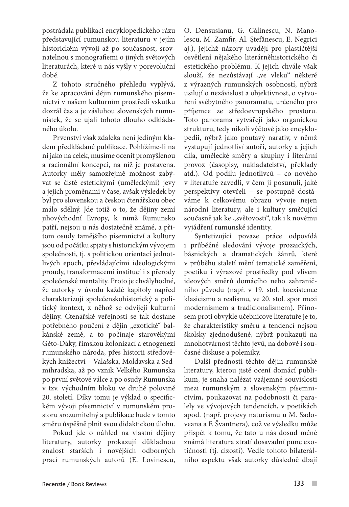postrádala publikaci encyklopedického rázu představující rumunskou literaturu v jejím historickém vývoji až po současnost, srovnatelnou s monografiemi o jiných světových literaturách, které u nás vyšly v porevoluční době.

Z tohoto stručného přehledu vyplývá, že ke zpracování dějin rumunského písemnictví v našem kulturním prostředí vskutku dozrál čas a je zásluhou slovenských rumunistek, že se ujali tohoto dlouho odkládaného úkolu.

Prvenství však zdaleka není jediným kladem předkládané publikace. Pohlížíme-li na ni jako na celek, musíme ocenit promyšlenou a racionální koncepci, na níž je postavena. Autorky měly samozřejmě možnost zabývat se čistě estetickými (uměleckými) jevy a jejich proměnami v čase, avšak výsledek by byl pro slovenskou a českou čtenářskou obec málo sdělný. Jde totiž o to, že dějiny zemí jihovýchodní Evropy, k nimž Rumunsko patří, nejsou u nás dostatečně známé, a přitom osudy tamějšího písemnictví a kultury jsou od počátku spjaty s historickým vývojem společnosti, tj. s politickou orientací jednotlivých epoch, převládajícími ideologickými proudy, transformacemi institucí i s přerody společenské mentality. Proto je chvályhodné, že autorky v úvodu každé kapitoly napřed charakterizují společenskohistorický a politický kontext, z něhož se odvíjejí kulturní dějiny. Čtenářské veřejnosti se tak dostane potřebného poučení z dějin "exotické" balkánské země, a to počínaje starověkými Géto-Dáky, římskou kolonizací a etnogenezí rumunského národa, přes historii středověkých knížectví – Valašska, Moldavska a Sedmihradska, až po vznik Velkého Rumunska po první světové válce a po osudy Rumunska v tzv. východním bloku ve druhé polovině 20. století. Díky tomu je výklad o specifickém vývoji písemnictví v rumunském prostoru srozumitelný a publikace bude v tomto směru úspěšně plnit svou didaktickou úlohu.

Pokud jde o náhled na vlastní dějiny literatury, autorky prokazují důkladnou znalost starších i novějších odborných prací rumunských autorů (E. Lovinescu, O. Densusianu, G. Călinescu, N. Manolescu, M. Zamfir, Al. Ştefănescu, E. Negrici aj.), jejichž názory uvádějí pro plastičtější osvětlení nějakého literárněhistorického či estetického problému. K jejich chvále však slouží, že nezůstávají "ve vleku" některé z výrazných rumunských osobností, nýbrž usilují o nezávislost a objektivnost, o vytvoření svébytného panoramatu, určeného pro příjemce ze středoevropského prostoru. Toto panorama vytvářejí jako organickou strukturu, tedy nikoli výčtově jako encyklopedii, nýbrž jako poutavý narativ, v němž vystupují jednotliví autoři, autorky a jejich díla, umělecké směry a skupiny i literární provoz (časopisy, nakladatelství, překlady atd.). Od podílu jednotlivců – co nového v literatuře zavedli, v čem ji posunuli, jaké perspektivy otevřeli – se postupně dostáváme k celkovému obrazu vývoje nejen národní literatury, ale i kultury směřující současně jak ke "světovosti", tak i k novému vyjádření rumunské identity.

Syntetizující povaze práce odpovídá i průběžné sledování vývoje prozaických, básnických a dramatických žánrů, které v průběhu staletí mění tematické zaměření, poetiku i výrazové prostředky pod vlivem ideových směrů domácího nebo zahraničního původu (např. v 19. stol. koexistence klasicismu a realismu, ve 20. stol. spor mezi modernismem a tradicionalismem). Přínosem proti obvyklé učebnicové literatuře je to, že charakteristiky směrů a tendencí nejsou školsky zjednodušené, nýbrž poukazují na mnohotvárnost těchto jevů, na dobové i současné diskuse a polemiky.

Další předností těchto dějin rumunské literatury, kterou jistě ocení domácí publikum, je snaha nalézat vzájemné souvislosti mezi rumunským a slovenským písemnictvím, poukazovat na podobnosti či paralely ve vývojových tendencích, v poetikách apod. (např. projevy naturismu u M. Sadoveana a F. Švantnera), což ve výsledku může přispět k tomu, že tato u nás dosud méně známá literatura ztratí dosavadní punc exotičnosti (tj. cizosti). Vedle tohoto bilaterálního aspektu však autorky důsledně dbají

 $\mathcal{L}^{\mathcal{A}}$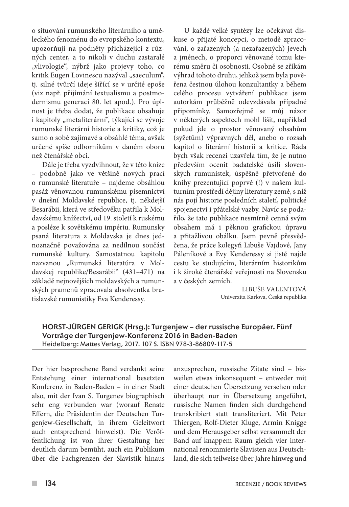o situování rumunského literárního a uměleckého fenoménu do evropského kontextu, upozorňují na podněty přicházející z různých center, a to nikoli v duchu zastaralé "vlivologie", nýbrž jako projevy toho, co kritik Eugen Lovinescu nazýval "saeculum", tj. silné tvůrčí ideje šířící se v určité epoše (viz např. přijímání textualismu a postmodernismu generací 80. let apod.). Pro úplnost je třeba dodat, že publikace obsahuje i kapitoly "metaliterární", týkající se vývoje rumunské literární historie a kritiky, což je samo o sobě zajímavé a obsáhlé téma, avšak určené spíše odborníkům v daném oboru než čtenářské obci.

Dále je třeba vyzdvihnout, že v této knize – podobně jako ve většině nových prací o rumunské literatuře – najdeme obsáhlou pasáž věnovanou rumunskému písemnictví v dnešní Moldavské republice, tj. někdejší Besarábii, která ve středověku patřila k Moldavskému knížectví, od 19. století k ruskému a posléze k sovětskému impériu. Rumunsky psaná literatura z Moldavska je dnes jednoznačně považována za nedílnou součást rumunské kultury. Samostatnou kapitolu nazvanou "Rumunská literatúra v Moldavskej republike/Besarábii" (431–471) na základě nejnovějších moldavských a rumunských pramenů zpracovala absolventka bratislavské rumunistiky Eva Kenderessy.

U každé velké syntézy lze očekávat diskuse o přijaté koncepci, o metodě zpracování, o zařazených (a nezařazených) jevech a jménech, o proporci věnované tomu kterému směru či osobnosti. Osobně se zříkám výhrad tohoto druhu, jelikož jsem byla pověřena čestnou úlohou konzultantky a během celého procesu vytváření publikace jsem autorkám průběžně odevzdávala případné připomínky. Samozřejmě se můj názor v některých aspektech mohl lišit, například pokud jde o prostor věnovaný obsahům (syžetům) výpravných děl, anebo o rozsah kapitol o literární historii a kritice. Ráda bych však recenzi uzavřela tím, že je nutno především ocenit badatelské úsilí slovenských rumunistek, úspěšně přetvořené do knihy prezentující poprvé (!) v našem kulturním prostředí dějiny literatury země, s níž nás pojí historie posledních staletí, politické spojenectví i přátelské vazby. Navíc se podařilo, že tato publikace nesmírně cenná svým obsahem má i pěknou grafickou úpravu a přitažlivou obálku. Jsem pevně přesvědčena, že práce kolegyň Libuše Vajdové, Jany Páleníkové a Evy Kenderessy si jistě najde cestu ke studujícím, literárním historikům i k široké čtenářské veřejnosti na Slovensku a v českých zemích.

> Libuše Valentová Univerzita Karlova, Česká republika

## HORST-JÜRGEN GERIGK (Hrsg.): Turgenjew – der russische Europäer. Fünf Vorträge der Turgenjew-Konferenz 2016 in Baden-Baden Heidelberg: Mattes Verlag, 2017. 107 S. ISBN 978-3-86809-117-5

Der hier besprochene Band verdankt seine Entstehung einer international besetzten Konferenz in Baden-Baden – in einer Stadt also, mit der Ivan S. Turgenev biographisch sehr eng verbunden war (worauf Renate Effern, die Präsidentin der Deutschen Turgenjew-Gesellschaft, in ihrem Geleitwort auch entsprechend hinweist). Die Veröffentlichung ist von ihrer Gestaltung her deutlich darum bemüht, auch ein Publikum über die Fachgrenzen der Slavistik hinaus anzusprechen, russische Zitate sind – bisweilen etwas inkonsequent – entweder mit einer deutschen Übersetzung versehen oder überhaupt nur in Übersetzung angeführt, russische Namen finden sich durchgehend transkribiert statt transliteriert. Mit Peter Thiergen, Rolf-Dieter Kluge, Armin Knigge und dem Herausgeber selbst versammelt der Band auf knappem Raum gleich vier international renommierte Slavisten aus Deutschland, die sich teilweise über Jahre hinweg und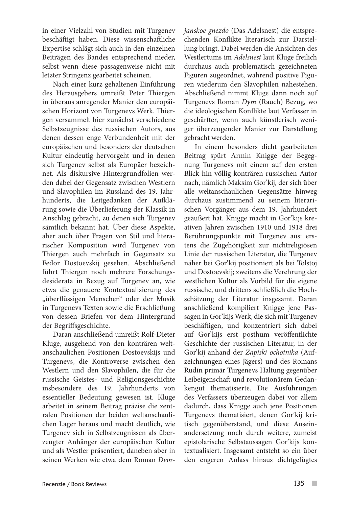in einer Vielzahl von Studien mit Turgenev beschäftigt haben. Diese wissenschaftliche Expertise schlägt sich auch in den einzelnen Beiträgen des Bandes entsprechend nieder, selbst wenn diese passagenweise nicht mit letzter Stringenz gearbeitet scheinen.

Nach einer kurz gehaltenen Einführung des Herausgebers umreißt Peter Thiergen in überaus anregender Manier den europäischen Horizont von Turgenevs Werk. Thiergen versammelt hier zunächst verschiedene Selbstzeugnisse des russischen Autors, aus denen dessen enge Verbundenheit mit der europäischen und besonders der deutschen Kultur eindeutig hervorgeht und in denen sich Turgenev selbst als Europäer bezeichnet. Als diskursive Hintergrundfolien werden dabei der Gegensatz zwischen Westlern und Slavophilen im Russland des 19. Jahrhunderts, die Leitgedanken der Aufklärung sowie die Überlieferung der Klassik in Anschlag gebracht, zu denen sich Turgenev sämtlich bekannt hat. Über diese Aspekte, aber auch über Fragen von Stil und literarischer Komposition wird Turgenev von Thiergen auch mehrfach in Gegensatz zu Fedor Dostoevskij gesehen. Abschließend führt Thiergen noch mehrere Forschungsdesiderata in Bezug auf Turgenev an, wie etwa die genauere Kontextualisierung des "überflüssigen Menschen" oder der Musik in Turgenevs Texten sowie die Erschließung von dessen Briefen vor dem Hintergrund der Begriffsgeschichte.

Daran anschließend umreißt Rolf-Dieter Kluge, ausgehend von den konträren weltanschaulichen Positionen Dostoevskijs und Turgenevs, die Kontroverse zwischen den Westlern und den Slavophilen, die für die russische Geistes- und Religionsgeschichte insbesondere des 19. Jahrhunderts von essentieller Bedeutung gewesen ist. Kluge arbeitet in seinem Beitrag präzise die zentralen Positionen der beiden weltanschaulichen Lager heraus und macht deutlich, wie Turgenev sich in Selbstzeugnissen als überzeugter Anhänger der europäischen Kultur und als Westler präsentiert, daneben aber in seinen Werken wie etwa dem Roman *Dvor-* *janskoe gnezdo* (Das Adelsnest) die entsprechenden Konflikte literarisch zur Darstellung bringt. Dabei werden die Ansichten des Westlertums im *Adelsnest* laut Kluge freilich durchaus auch problematisch gezeichneten Figuren zugeordnet, während positive Figuren wiederum den Slavophilen nahestehen. Abschließend nimmt Kluge dann noch auf Turgenevs Roman *Dym* (Rauch) Bezug, wo die ideologischen Konflikte laut Verfasser in geschärfter, wenn auch künstlerisch weniger überzeugender Manier zur Darstellung gebracht werden.

In einem besonders dicht gearbeiteten Beitrag spürt Armin Knigge der Begegnung Turgenevs mit einem auf den ersten Blick hin völlig konträren russischen Autor nach, nämlich Maksim Gor'kij, der sich über alle weltanschaulichen Gegensätze hinweg durchaus zustimmend zu seinem literarischen Vorgänger aus dem 19. Jahrhundert geäußert hat. Knigge macht in Gor'kijs kreativen Jahren zwischen 1910 und 1918 drei Berührungspunkte mit Turgenev aus: erstens die Zugehörigkeit zur nichtreligiösen Linie der russischen Literatur, die Turgenev näher bei Gor'kij positioniert als bei Tolstoj und Dostoevskij; zweitens die Verehrung der westlichen Kultur als Vorbild für die eigene russische, und drittens schließlich die Hochschätzung der Literatur insgesamt. Daran anschließend kompiliert Knigge jene Passagen in Gor'kijs Werk, die sich mit Turgenev beschäftigen, und konzentriert sich dabei auf Gor'kijs erst posthum veröffentlichte Geschichte der russischen Literatur, in der Gor'kij anhand der *Zapiski ochotnika* (Aufzeichnungen eines Jägers) und des Romans Rudin primär Turgenevs Haltung gegenüber Leibeigenschaft und revolutionärem Gedankengut thematisierte. Die Ausführungen des Verfassers überzeugen dabei vor allem dadurch, dass Knigge auch jene Positionen Turgenevs thematisiert, denen Gor'kij kritisch gegenüberstand, und diese Auseinandersetzung noch durch weitere, zumeist epistolarische Selbstaussagen Gor'kijs kontextualisiert. Insgesamt entsteht so ein über den engeren Anlass hinaus dichtgefügtes

 $\sim$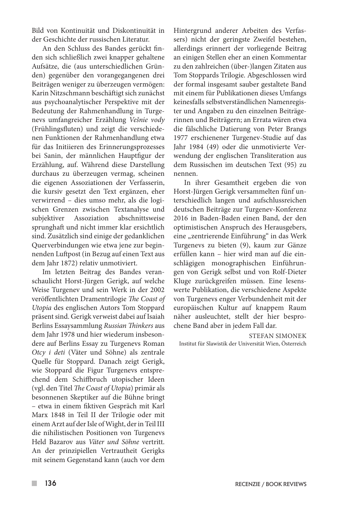Bild von Kontinuität und Diskontinuität in der Geschichte der russischen Literatur.

An den Schluss des Bandes gerückt finden sich schließlich zwei knapper gehaltene Aufsätze, die (aus unterschiedlichen Gründen) gegenüber den vorangegangenen drei Beiträgen weniger zu überzeugen vermögen: Karin Nitzschmann beschäftigt sich zunächst aus psychoanalytischer Perspektive mit der Bedeutung der Rahmenhandlung in Turgenevs umfangreicher Erzählung *Vešnie vody*  (Frühlingsfluten) und zeigt die verschiedenen Funktionen der Rahmenhandlung etwa für das Initiieren des Erinnerungsprozesses bei Sanin, der männlichen Hauptfigur der Erzählung, auf. Während diese Darstellung durchaus zu überzeugen vermag, scheinen die eigenen Assoziationen der Verfasserin, die kursiv gesetzt den Text ergänzen, eher verwirrend – dies umso mehr, als die logischen Grenzen zwischen Textanalyse und subjektiver Assoziation abschnittsweise sprunghaft und nicht immer klar ersichtlich sind. Zusätzlich sind einige der gedanklichen Querverbindungen wie etwa jene zur beginnenden Luftpost (in Bezug auf einen Text aus dem Jahr 1872) relativ unmotiviert.

Im letzten Beitrag des Bandes veranschaulicht Horst-Jürgen Gerigk, auf welche Weise Turgenev und sein Werk in der 2002 veröffentlichten Dramentrilogie *The Coast of Utopia* des englischen Autors Tom Stoppard präsent sind. Gerigk verweist dabei auf Isaiah Berlins Essaysammlung *Russian Thinkers* aus dem Jahr 1978 und hier wiederum insbesondere auf Berlins Essay zu Turgenevs Roman *Otcy i deti* (Väter und Söhne) als zentrale Quelle für Stoppard. Danach zeigt Gerigk, wie Stoppard die Figur Turgenevs entsprechend dem Schiffbruch utopischer Ideen (vgl. den Titel *The Coast of Utopia*) primär als besonnenen Skeptiker auf die Bühne bringt – etwa in einem fiktiven Gespräch mit Karl Marx 1848 in Teil II der Trilogie oder mit einem Arzt auf der Isle of Wight, der in Teil III die nihilistischen Positionen von Turgenevs Held Bazarov aus *Väter und Söhne* vertritt. An der prinzipiellen Vertrautheit Gerigks mit seinem Gegenstand kann (auch vor dem

Hintergrund anderer Arbeiten des Verfassers) nicht der geringste Zweifel bestehen, allerdings erinnert der vorliegende Beitrag an einigen Stellen eher an einen Kommentar zu den zahlreichen (über-)langen Zitaten aus Tom Stoppards Trilogie. Abgeschlossen wird der formal insgesamt sauber gestaltete Band mit einem für Publikationen dieses Umfangs keinesfalls selbstverständlichen Namenregister und Angaben zu den einzelnen Beiträgerinnen und Beiträgern; an Errata wären etwa die fälschliche Datierung von Peter Brangs 1977 erschienener Turgenev-Studie auf das Jahr 1984 (49) oder die unmotivierte Verwendung der englischen Transliteration aus dem Russischen im deutschen Text (95) zu nennen.

In ihrer Gesamtheit ergeben die von Horst-Jürgen Gerigk versammelten fünf unterschiedlich langen und aufschlussreichen deutschen Beiträge zur Turgenev-Konferenz 2016 in Baden-Baden einen Band, der den optimistischen Anspruch des Herausgebers, eine "zentrierende Einführung" in das Werk Turgenevs zu bieten (9), kaum zur Gänze erfüllen kann – hier wird man auf die einschlägigen monographischen Einführungen von Gerigk selbst und von Rolf-Dieter Kluge zurückgreifen müssen. Eine lesenswerte Publikation, die verschiedene Aspekte von Turgenevs enger Verbundenheit mit der europäischen Kultur auf knappem Raum näher ausleuchtet, stellt der hier besprochene Band aber in jedem Fall dar.

#### STEFAN SIMONEK

Institut für Slawistik der Universität Wien, Österreich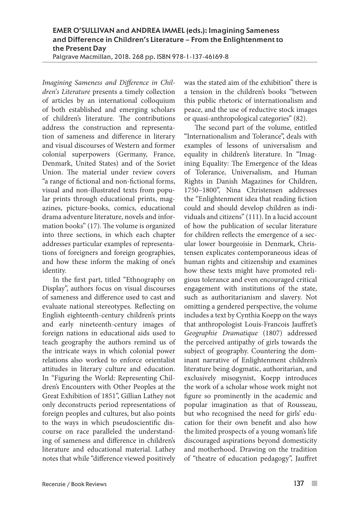# EMER O'SULLIVAN and ANDREA IMMEL (eds.): Imagining Sameness and Difference in Children's Literature – From the Enlightenment to the Present Day

Palgrave Macmillan, 2018. 268 pp. ISBN 978-1-137-46169-8

*Imagining Sameness and Difference in Children's Literature* presents a timely collection of articles by an international colloquium of both established and emerging scholars of children's literature. The contributions address the construction and representation of sameness and difference in literary and visual discourses of Western and former colonial superpowers (Germany, France, Denmark, United States) and of the Soviet Union. The material under review covers "a range of fictional and non-fictional forms, visual and non-illustrated texts from popular prints through educational prints, magazines, picture-books, comics, educational drama adventure literature, novels and information books" (17). The volume is organized into three sections, in which each chapter addresses particular examples of representations of foreigners and foreign geographies, and how these inform the making of one's identity.

In the first part, titled "Ethnography on Display", authors focus on visual discourses of sameness and difference used to cast and evaluate national stereotypes. Reflecting on English eighteenth-century children's prints and early nineteenth-century images of foreign nations in educational aids used to teach geography the authors remind us of the intricate ways in which colonial power relations also worked to enforce orientalist attitudes in literary culture and education. In "Figuring the World: Representing Children's Encounters with Other Peoples at the Great Exhibition of 1851", Gillian Lathey not only deconstructs period representations of foreign peoples and cultures, but also points to the ways in which pseudoscientific discourse on race paralleled the understanding of sameness and difference in children's literature and educational material. Lathey notes that while "difference viewed positively

was the stated aim of the exhibition" there is a tension in the children's books "between this public rhetoric of internationalism and peace, and the use of reductive stock images or quasi-anthropological categories" (82).

The second part of the volume, entitled "Internationalism and Tolerance", deals with examples of lessons of universalism and equality in children's literature. In "Imagining Equality: The Emergence of the Ideas of Tolerance, Universalism, and Human Rights in Danish Magazines for Children, 1750–1800", Nina Christensen addresses the "Enlightenment idea that reading fiction could and should develop children as individuals and citizens" (111). In a lucid account of how the publication of secular literature for children reflects the emergence of a secular lower bourgeoisie in Denmark, Christensen explicates contemporaneous ideas of human rights and citizenship and examines how these texts might have promoted religious tolerance and even encouraged critical engagement with institutions of the state, such as authoritarianism and slavery. Not omitting a gendered perspective, the volume includes a text by Cynthia Koepp on the ways that anthropologist Louis-Francois Jauffret's *Geographie Dramatique* (1807) addressed the perceived antipathy of girls towards the subject of geography. Countering the dominant narrative of Enlightenment children's literature being dogmatic, authoritarian, and exclusively misogynist, Koepp introduces the work of a scholar whose work might not figure so prominently in the academic and popular imagination as that of Rousseau, but who recognised the need for girls' education for their own benefit and also how the limited prospects of a young woman's life discouraged aspirations beyond domesticity and motherhood. Drawing on the tradition of "theatre of education pedagogy", Jauffret

 $\overline{\phantom{a}}$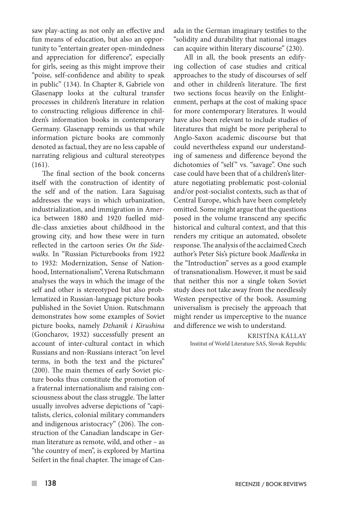saw play-acting as not only an effective and fun means of education, but also an opportunity to "entertain greater open-mindedness and appreciation for difference", especially for girls, seeing as this might improve their "poise, self-confidence and ability to speak in public" (134). In Chapter 8, Gabriele von Glasenapp looks at the cultural transfer processes in children's literature in relation to constructing religious difference in children's information books in contemporary Germany. Glasenapp reminds us that while information picture books are commonly denoted as factual, they are no less capable of narrating religious and cultural stereotypes (161).

The final section of the book concerns itself with the construction of identity of the self and of the nation. Lara Saguisag addresses the ways in which urbanization, industrialization, and immigration in America between 1880 and 1920 fuelled middle-class anxieties about childhood in the growing city, and how these were in turn reflected in the cartoon series *On the Sidewalks.* In "Russian Picturebooks from 1922 to 1932: Modernization, Sense of Nationhood, Internationalism", Verena Rutschmann analyses the ways in which the image of the self and other is stereotyped but also problematized in Russian-language picture books published in the Soviet Union. Rutschmann demonstrates how some examples of Soviet picture books, namely *Dzhanik i Kirushina*  (Goncharov, 1932) successfully present an account of inter-cultural contact in which Russians and non-Russians interact "on level terms, in both the text and the pictures" (200). The main themes of early Soviet picture books thus constitute the promotion of a fraternal internationalism and raising consciousness about the class struggle. The latter usually involves adverse depictions of "capitalists, clerics, colonial military commanders and indigenous aristocracy" (206). The construction of the Canadian landscape in German literature as remote, wild, and other – as "the country of men", is explored by Martina Seifert in the final chapter. The image of Canada in the German imaginary testifies to the "solidity and durability that national images can acquire within literary discourse" (230).

All in all, the book presents an edifying collection of case studies and critical approaches to the study of discourses of self and other in children's literature. The first two sections focus heavily on the Enlightenment, perhaps at the cost of making space for more contemporary literatures. It would have also been relevant to include studies of literatures that might be more peripheral to Anglo-Saxon academic discourse but that could nevertheless expand our understanding of sameness and difference beyond the dichotomies of "self" vs. "savage". One such case could have been that of a children's literature negotiating problematic post-colonial and/or post-socialist contexts, such as that of Central Europe, which have been completely omitted. Some might argue that the questions posed in the volume transcend any specific historical and cultural context, and that this renders my critique an automated, obsolete response. The analysis of the acclaimed Czech author's Peter Sís's picture book *Madlenka* in the "Introduction" serves as a good example of transnationalism. However, it must be said that neither this nor a single token Soviet study does not take away from the needlessly Westen perspective of the book. Assuming universalism is precisely the approach that might render us imperceptive to the nuance and difference we wish to understand.

> KRISTÍNA KÁLLAY Institut of World Literature SAS, Slovak Republic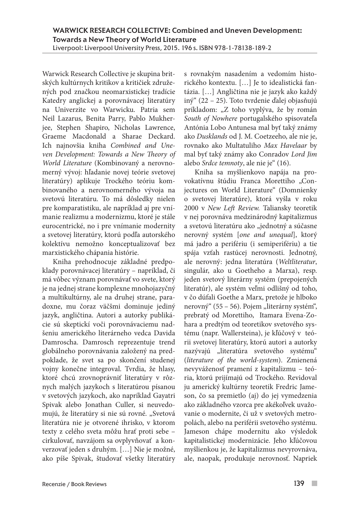Warwick Research Collective je skupina britských kultúrnych kritikov a kritičiek združených pod značkou neomarxistickej tradície Katedry anglickej a porovnávacej literatúry na Univerzite vo Warwicku. Patria sem Neil Lazarus, Benita Parry, Pablo Mukherjee, Stephen Shapiro, Nicholas Lawrence, Graeme Macdonald a Sharae Deckard. Ich najnovšia kniha *Combined and Uneven Development: Towards a New Theory of World Literature* (Kombinovaný a nerovnomerný vývoj: hľadanie novej teórie svetovej literatúry) aplikuje Trockého teóriu kombinovaného a nerovnomerného vývoja na svetovú literatúru. To má dôsledky nielen pre komparatistiku, ale napríklad aj pre vnímanie realizmu a modernizmu, ktoré je stále eurocentrické, no i pre vnímanie modernity a svetovej literatúry, ktorú podľa autorského kolektívu nemožno konceptualizovať bez marxistického chápania histórie.

Kniha prehodnocuje základné predpoklady porovnávacej literatúry – napríklad, či má vôbec význam porovnávať vo svete, ktorý je na jednej strane komplexne mnohojazyčný a multikultúrny, ale na druhej strane, paradoxne, mu čoraz väčšmi dominuje jediný jazyk, angličtina. Autori a autorky publikácie sú skeptickí voči porovnávaciemu nadšeniu amerického literárneho vedca Davida Damroscha. Damrosch reprezentuje trend globálneho porovnávania založený na predpoklade, že svet sa po skončení studenej vojny konečne integroval. Tvrdia, že hlasy, ktoré chcú zrovnoprávniť literatúry v rôznych malých jazykoch s literatúrou písanou v svetových jazykoch, ako napríklad Gayatri Spivak alebo Jonathan Culler, si neuvedomujú, že literatúry si nie sú rovné. "Svetová literatúra nie je otvorené ihrisko, v ktorom texty z celého sveta môžu hrať proti sebe – cirkulovať, navzájom sa ovplyvňovať a konverzovať jeden s druhým. […] Nie je možné, ako píše Spivak, študovať všetky literatúry

s rovnakým nasadením a vedomím historického kontextu. […] Je to idealistická fantázia. […] Angličtina nie je jazyk ako každý iný" (22 – 25). Toto tvrdenie ďalej objasňujú príkladom: "Z toho vyplýva, že by román *South of Nowhere* portugalského spisovateľa Antónia Lobo Antunesa mal byť taký známy ako *Dusklands* od J. M. Coetzeeho, ale nie je, rovnako ako Multatuliho *Max Havelaar* by mal byť taký známy ako Conradov *Lord Jim*  alebo *Srdce temnoty*, ale nie je" (16).

Kniha sa myšlienkovo napája na provokatívnu štúdiu Franca Morettiho "Conjectures on World Literature" (Domnienky o svetovej literatúre), ktorá vyšla v roku 2000 v *New Left Review.* Taliansky teoretik v nej porovnáva medzinárodný kapitalizmus a svetovú literatúru ako "jednotný a súčasne nerovný systém [*one and unequal*], ktorý má jadro a perifériu (i semiperifériu) a tie spája vzťah rastúcej nerovnosti. Jednotný, ale nerovný: jedna literatúra (*Weltliteratur*, singulár, ako u Goetheho a Marxa), resp. jeden svetový literárny systém (prepojených literatúr), ale systém veľmi odlišný od toho, v čo dúfali Goethe a Marx, pretože je hlboko nerovný" (55 – 56). Pojem "literárny systém", prebratý od Morettiho, Itamara Evena-Zohara a predtým od teoretikov svetového systému (napr. Wallersteina), je kľúčový v teórii svetovej literatúry, ktorú autori a autorky nazývajú "literatúra svetového systému" (*literature of the world-system*). Zmienená nevyváženosť pramení z kapitalizmu – teória, ktorú prijímajú od Trockého. Revidoval ju americký kultúrny teoretik Fredric Jameson, čo sa premietlo (aj) do jej vymedzenia ako základného vzorca pre akékoľvek uvažovanie o modernite, či už v svetových metropolách, alebo na periférii svetového systému. Jameson chápe modernitu ako výsledok kapitalistickej modernizácie. Jeho kľúčovou myšlienkou je, že kapitalizmus nevyrovnáva, ale, naopak, produkuje nerovnosť. Napriek

 $\mathcal{L}^{\mathcal{A}}$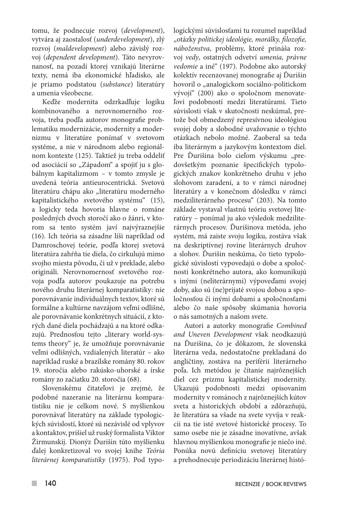tomu, že podnecuje rozvoj (*development*), vytvára aj zaostalosť (*underdevelopment*), zlý rozvoj (*maldevelopment*) alebo závislý rozvoj (*dependent development*). Táto nevyrovnanosť, na pozadí ktorej vznikajú literárne texty, nemá iba ekonomické hľadisko, ale je priamo podstatou (*substance*) literatúry a umenia všeobecne.

Keďže modernita odzrkadľuje logiku kombinovaného a nerovnomerného rozvoja, treba podľa autorov monografie problematiku modernizácie, modernity a modernizmu v literatúre ponímať v svetovom systéme, a nie v národnom alebo regionálnom kontexte (125). Taktiež ju treba oddeliť od asociácií so "Západom" a spojiť ju s globálnym kapitalizmom – v tomto zmysle je uvedená teória antieurocentrická. Svetovú literatúru chápu ako "literatúru moderného kapitalistického svetového systému" (15), a logicky teda hovoria hlavne o románe posledných dvoch storočí ako o žánri, v ktorom sa tento systém javí najvýraznejšie (16). Ich teória sa zásadne líši napríklad od Damroschovej teórie, podľa ktorej svetová literatúra zahŕňa tie diela, čo cirkulujú mimo svojho miesta pôvodu, či už v preklade, alebo origináli. Nerovnomernosť svetového rozvoja podľa autorov poukazuje na potrebu nového druhu literárnej komparatistiky: nie porovnávanie individuálnych textov, ktoré sú formálne a kultúrne navzájom veľmi odlišné, ale porovnávanie konkrétnych situácií, z ktorých dané diela pochádzajú a na ktoré odkazujú. Prednosťou tejto "literary world-systems theory" je, že umožňuje porovnávanie veľmi odlišných, vzdialených literatúr – ako napríklad ruské a brazílske romány 80. rokov 19. storočia alebo rakúsko-uhorské a írske romány zo začiatku 20. storočia (68).

Slovenskému čitateľovi je zrejmé, že podobné nazeranie na literárnu komparatistiku nie je celkom nové. S myšlienkou porovnávať literatúry na základe typologických súvislostí, ktoré sú nezávislé od vplyvov a kontaktov, prišiel už ruský formalista Viktor Žirmunskij. Dionýz Ďurišin túto myšlienku ďalej konkretizoval vo svojej knihe *Teória literárnej komparatistiky* (1975). Pod typologickými súvislosťami tu rozumel napríklad "otázky *politickej ideológie, morálky, filozofie, náboženstva*, problémy, ktoré prináša rozvoj *vedy*, ostatných odvetví *umenia, právne vedomie* a iné" (197). Podobne ako autorský kolektív recenzovanej monografie aj Ďurišin hovoril o "analogickom sociálno-politickom vývoji" (200) ako o spoločnom menovateľovi podobností medzi literatúrami. Tieto súvislosti však v skutočnosti neskúmal, pretože bol obmedzený represívnou ideológiou svojej doby a slobodné uvažovanie o týchto otázkach nebolo možné. Zaoberal sa teda iba literárnym a jazykovým kontextom diel. Pre Ďurišina bolo cieľom výskumu "predovšetkým poznanie špecifických typologických znakov konkrétneho druhu v jeho slohovom zaradení, a to v rámci národnej literatúry a v konečnom dôsledku v rámci medziliterárneho procesu" (203). Na tomto základe vystaval vlastnú teóriu svetovej literatúry – ponímal ju ako výsledok medziliterárnych procesov. Ďurišinova metóda, jeho systém, má zaiste svoju logiku, zostáva však na deskriptívnej rovine literárnych druhov a slohov. Ďurišin neskúma, čo tieto typologické súvislosti vypovedajú o dobe a spoločnosti konkrétneho autora, ako komunikujú s inými (neliterárnymi) výpoveďami svojej doby, ako sú (ne)prijaté svojou dobou a spoločnosťou či inými dobami a spoločnosťami alebo čo naše spôsoby skúmania hovoria o nás samotných a našom svete.

Autori a autorky monografie *Combined and Uneven Development* však neodkazujú na Ďurišina, čo je dôkazom, že slovenská literárna veda, nedostatočne prekladaná do angličtiny, zostáva na periférii literárneho poľa. Ich metódou je čítanie najrôznejších diel cez prizmu kapitalistickej modernity. Ukazujú podobnosti medzi opisovaním modernity v románoch z najrôznejších kútov sveta a historických období a zdôrazňujú, že literatúra sa všade na svete vyvíja v reakcii na tie isté svetové historické procesy. To samo osebe nie je zásadne inovatívne, avšak hlavnou myšlienkou monografie je niečo iné. Ponúka novú definíciu svetovej literatúry a prehodnocuje periodizáciu literárnej histó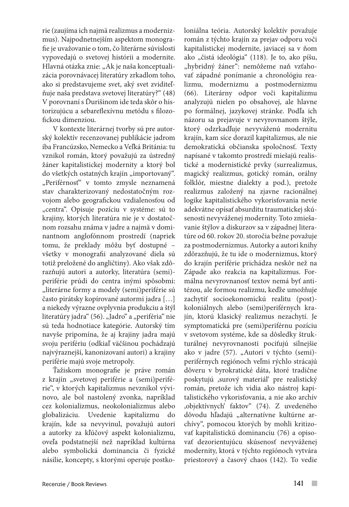rie (zaujíma ich najmä realizmus a modernizmus). Najpodnetnejším aspektom monografie je uvažovanie o tom, čo literárne súvislosti vypovedajú o svetovej histórii a modernite. Hlavná otázka znie: "Ak je naša konceptualizácia porovnávacej literatúry zrkadlom toho, ako si predstavujeme svet, aký svet zviditeľňuje naša predstava svetovej literatúry?" (48) V porovnaní s Ďurišinom ide teda skôr o historizujúcu a sebareflexívnu metódu s filozofickou dimenziou.

V kontexte literárnej tvorby sú pre autorský kolektív recenzovanej publikácie jadrom iba Francúzsko, Nemecko a Veľká Británia: tu vznikol román, ktorý považujú za ústredný žáner kapitalistickej modernity a ktorý bol do všetkých ostatných krajín "importovaný". "Periférnosť" v tomto zmysle neznamená stav charakterizovaný nedostatočným rozvojom alebo geografickou vzdialenosťou od "centra". Opisuje pozíciu v systéme: sú to krajiny, ktorých literatúra nie je v dostatočnom rozsahu známa v jadre a najmä v dominantnom anglofónnom prostredí (napriek tomu, že preklady môžu byť dostupné – všetky v monografii analyzované diela sú totiž preložené do angličtiny). Ako však zdôrazňujú autori a autorky, literatúra (semi) periférie prúdi do centra inými spôsobmi: "literárne formy a modely (semi)periférie sú často pirátsky kopírované autormi jadra […] a niekedy výrazne ovplyvnia produkciu a štýl literatúry jadra" (56). "Jadro" a "periféria" nie sú teda hodnotiace kategórie. Autorský tím navyše pripomína, že aj krajiny jadra majú svoju perifériu (odkiaľ väčšinou pochádzajú najvýraznejší, kanonizovaní autori) a krajiny periférie majú svoje metropoly.

Ťažiskom monografie je práve román z krajín "svetovej periférie a (semi)periférie", v ktorých kapitalizmus nevznikol vývinovo, ale bol nastolený zvonka, napríklad cez kolonializmus, neokolonializmus alebo globalizáciu. Uvedenie kapitalizmu do krajín, kde sa nevyvinul, považujú autori a autorky za kľúčový aspekt kolonializmu, oveľa podstatnejší než napríklad kultúrna alebo symbolická dominancia či fyzické násilie, koncepty, s ktorými operuje postkoloniálna teória. Autorský kolektív považuje román z týchto krajín za prejav odporu voči kapitalistickej modernite, javiacej sa v ňom ako "čistá ideológia" (118). Je to, ako píšu, "hybridný žáner": nemôžeme naň vzťahovať západné ponímanie a chronológiu realizmu, modernizmu a postmodernizmu (66). Literárny odpor voči kapitalizmu analyzujú nielen po obsahovej, ale hlavne po formálnej, jazykovej stránke. Podľa ich názoru sa prejavuje v nevyrovnanom štýle, ktorý odzrkadľuje nevyváženú modernitu krajín, kam síce dorazil kapitalizmus, ale nie demokratická občianska spoločnosť. Texty napísané v takomto prostredí miešajú realistické a modernistické prvky (surrealizmus, magický realizmus, gotický román, orálny folklór, miestne dialekty a pod.), pretože realizmus založený na zjavne racionálnej logike kapitalistického vykorisťovania nevie adekvátne opísať absurditu traumatickej skúsenosti nevyváženej modernity. Toto zmiešavanie štýlov a diskurzov sa v západnej literatúre od 60. rokov 20. storočia bežne považuje za postmodernizmus. Autorky a autori knihy zdôrazňujú, že tu ide o modernizmus, ktorý do krajín periférie prichádza neskôr než na Západe ako reakcia na kapitalizmus. Formálna nevyrovnanosť textov nemá byť antitézou, ale formou realizmu, keďže umožňuje zachytiť socioekonomickú realitu (post) koloniálnych alebo (semi)periférnych krajín, ktorú klasický realizmus nezachytí. Je symptomatická pre (semi)periférnu pozíciu v svetovom systéme, kde sa dôsledky štrukturálnej nevyrovnanosti pociťujú silnejšie ako v jadre (57). "Autori v týchto (semi)periférnych regiónoch veľmi rýchlo strácajú dôveru v byrokratické dáta, ktoré tradične poskytujú ,surový materiál' pre realistický román, pretože ich vidia ako nástroj kapitalistického vykorisťovania, a nie ako archív ,objektívnych' faktov" (74). Z uvedeného dôvodu hľadajú "alternatívne kultúrne archívy", pomocou ktorých by mohli kritizovať kapitalistickú dominanciu (76) a opisovať dezorientujúcu skúsenosť nevyváženej modernity, ktorá v týchto regiónoch vytvára priestorový a časový chaos (142). To vedie

 $\mathcal{L}_{\mathcal{A}}$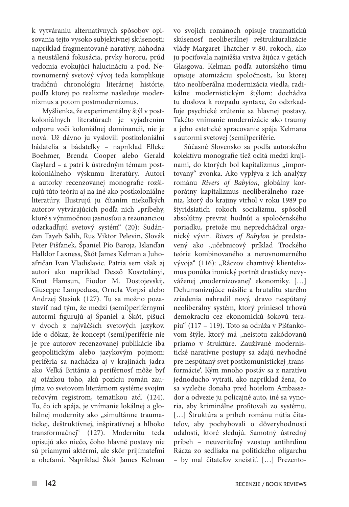k vytváraniu alternatívnych spôsobov opisovania tejto vysoko subjektívnej skúsenosti: napríklad fragmentované naratívy, náhodná a neustálená fokusácia, prvky hororu, prúd vedomia evokujúci halucináciu a pod. Nerovnomerný svetový vývoj teda komplikuje tradičnú chronológiu literárnej histórie, podľa ktorej po realizme nasleduje modernizmus a potom postmodernizmus.

Myšlienka, že experimentálny štýl v postkoloniálnych literatúrach je vyjadrením odporu voči koloniálnej dominancii, nie je nová. Už dávno ju vyslovili postkoloniálni bádatelia a bádateľky – napríklad Elleke Boehmer, Brenda Cooper alebo Gerald Gaylard – a patrí k ústredným témam postkoloniálneho výskumu literatúry. Autori a autorky recenzovanej monografie rozširujú túto teóriu aj na iné ako postkoloniálne literatúry. Ilustrujú ju čítaním niekoľkých autorov vytvárajúcich podľa nich "príbehy, ktoré s výnimočnou jasnosťou a rezonanciou odzrkadľujú svetový systém" (20): Sudánčan Tayeb Salih, Rus Viktor Pelevin, Slovák Peter Pišťanek, Španiel Pío Baroja, Islanďan Halldor Laxness, Škót James Kelman a Juhoafričan Ivan Vladislavic. Patria sem však aj autori ako napríklad Desző Kosztolányi, Knut Hamsun, Fiodor M. Dostojevskij, Giuseppe Lampedusa, Ornela Vorpsi alebo Andrzej Stasiuk (127). Tu sa možno pozastaviť nad tým, že medzi (semi)periférnymi autormi figurujú aj Španiel a Škót, píšuci v dvoch z najväčších svetových jazykov. Ide o dôkaz, že koncept (semi)periférie nie je pre autorov recenzovanej publikácie iba geopolitickým alebo jazykovým pojmom: periféria sa nachádza aj v krajinách jadra ako Veľká Británia a periférnosť môže byť aj otázkou toho, akú pozíciu román zaujíma vo svetovom literárnom systéme svojím rečovým registrom, tematikou atď. (124). To, čo ich spája, je vnímanie lokálnej a globálnej modernity ako "simultánne traumatickej, deštruktívnej, inšpiratívnej a hlboko transformačnej" (127). Modernitu teda opisujú ako niečo, čoho hlavné postavy nie sú priamymi aktérmi, ale skôr prijímateľmi a obeťami. Napríklad Škót James Kelman

vo svojich románoch opisuje traumatickú skúsenosť neoliberálnej reštrukturalizácie vlády Margaret Thatcher v 80. rokoch, ako ju pociťovala najnižšia vrstva žijúca v getách Glasgowa. Kelman podľa autorského tímu opisuje atomizáciu spoločnosti, ku ktorej táto neoliberálna modernizácia viedla, radikálne modernistickým štýlom: dochádza tu doslova k rozpadu syntaxe, čo odzrkadľuje psychické zrútenie sa hlavnej postavy. Takéto vnímanie modernizácie ako traumy a jeho estetické spracovanie spája Kelmana s autormi svetovej (semi)periférie.

Súčasné Slovensko sa podľa autorského kolektívu monografie tiež ocitá medzi krajinami, do ktorých bol kapitalizmus "importovaný" zvonka. Ako vyplýva z ich analýzy románu *Rivers of Babylon*, globálny korporátny kapitalizmus neoliberálneho razenia, ktorý do krajiny vtrhol v roku 1989 po štyridsiatich rokoch socializmu, spôsobil absolútny prevrat hodnôt a spoločenského poriadku, pretože mu nepredchádzal organický vývin. *Rivers of Babylon* je predstavený ako "učebnicový príklad Trockého teórie kombinovaného a nerovnomerného vývoja" (116): "Ráczov chamtivý klientelizmus ponúka ironický portrét drasticky nevyváženej ,modernizovanej' ekonomiky. […] Dehumanizujúce násilie a brutalitu starého zriadenia nahradil nový, dravo nespútaný neoliberálny systém, ktorý priniesol trhovú demokraciu cez ekonomickú šokovú terapiu" (117 – 119). Toto sa odráža v Pišťankovom štýle, ktorý má "neistotu zakódovanú priamo v štruktúre. Zaužívané modernistické naratívne postupy sa zdajú nevhodné pre nespútaný svet postkomunistickej ,transformácie'. Kým mnoho postáv sa z naratívu jednoducho vytratí, ako napríklad žena, čo sa vyzlečie donaha pred hotelom Ambassador a odvezie ju policajné auto, iné sa vynoria, aby kriminálne profitovali zo systému. [...] Struktúra a príbeh románu nútia čitateľov, aby pochybovali o dôveryhodnosti udalostí, ktoré sledujú. Samotný ústredný príbeh – neuveriteľný vzostup antihrdinu Rácza zo sedliaka na politického oligarchu – by mal čitateľov zneistiť. […] Prezento-

 $\mathcal{C}^{\mathcal{A}}$